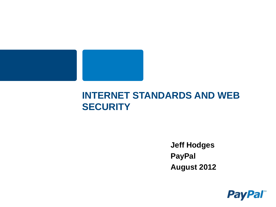

#### **INTERNET STANDARDS AND WEB SECURITY**

**Jeff Hodges PayPal August 2012**

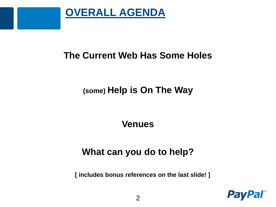

#### **The Current Web Has Some Holes**

#### **(some) Help is On The Way**

#### **Venues**

#### **What can you do to help?**

**[ includes bonus references on the last slide! ]**

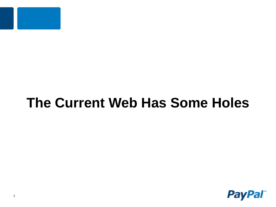

## **The Current Web Has Some Holes**

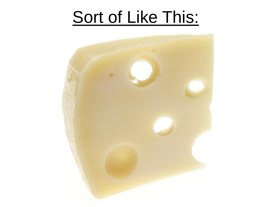# Sort of Like This:

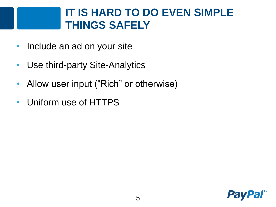#### **IT IS HARD TO DO EVEN SIMPLE THINGS SAFELY**

- Include an ad on your site
- Use third-party Site-Analytics
- Allow user input ("Rich" or otherwise)
- Uniform use of HTTPS

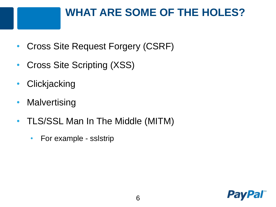## **WHAT ARE SOME OF THE HOLES?**

- Cross Site Request Forgery (CSRF)
- Cross Site Scripting (XSS)
- Clickjacking
- Malvertising
- TLS/SSL Man In The Middle (MITM)
	- For example sslstrip

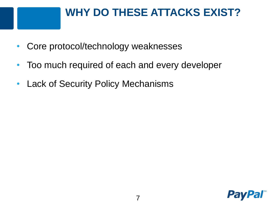#### **WHY DO THESE ATTACKS EXIST?**

- Core protocol/technology weaknesses
- Too much required of each and every developer
- Lack of Security Policy Mechanisms

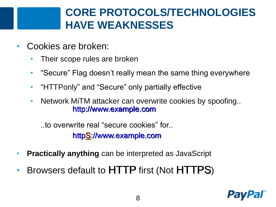#### **CORE PROTOCOLS/TECHNOLOGIES HAVE WEAKNESSES**

- Cookies are broken:
	- Their scope rules are broken
	- "Secure" Flag doesn't really mean the same thing everywhere
	- $\bullet$ "HTTPonly" and "Secure" only partially effective
	- Network MiTM attacker can overwrite cookies by spoofing.. http://www.example.com

..to overwrite real "secure cookies" for.. httpS://www.example.com

- **Practically anything** can be interpreted as JavaScript
- Browsers default to HTTP first (Not HTTPS)

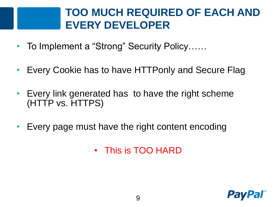#### **TOO MUCH REQUIRED OF EACH AND EVERY DEVELOPER**

- To Implement a "Strong" Security Policy……
- Every Cookie has to have HTTPonly and Secure Flag
- Every link generated has to have the right scheme (HTTP vs. HTTPS)
- Every page must have the right content encoding
	- This is TOO HARD

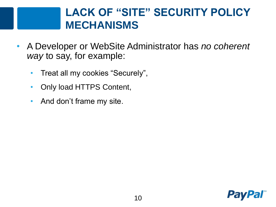#### **LACK OF "SITE" SECURITY POLICY MECHANISMS**

- A Developer or WebSite Administrator has *no coherent way* to say, for example:
	- Treat all my cookies "Securely",
	- Only load HTTPS Content,
	- And don't frame my site.

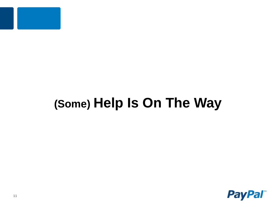

## **(Some) Help Is On The Way**

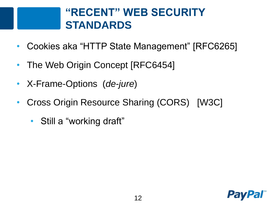#### **"RECENT" WEB SECURITY STANDARDS**

- Cookies aka "HTTP State Management" [RFC6265]
- The Web Origin Concept [RFC6454]
- X-Frame-Options (*de-jure*)
- Cross Origin Resource Sharing (CORS) [W3C]
	- Still a "working draft"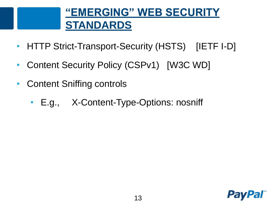## **"EMERGING" WEB SECURITY STANDARDS**

- HTTP Strict-Transport-Security (HSTS) [IETF I-D]
- Content Security Policy (CSPv1) [W3C WD]
- Content Sniffing controls
	- E.g., X-Content-Type-Options: nosniff

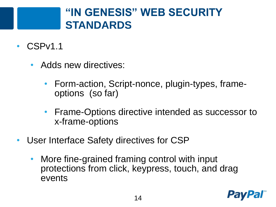#### **"IN GENESIS" WEB SECURITY STANDARDS**

- CSPv1.1
	- Adds new directives:
		- Form-action, Script-nonce, plugin-types, frameoptions (so far)
		- Frame-Options directive intended as successor to x-frame-options
- User Interface Safety directives for CSP
	- More fine-grained framing control with input protections from click, keypress, touch, and drag events

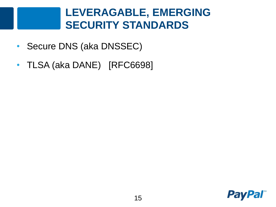#### **LEVERAGABLE, EMERGING SECURITY STANDARDS**

- Secure DNS (aka DNSSEC)
- TLSA (aka DANE) [RFC6698]

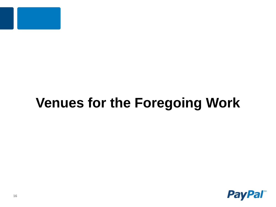

## **Venues for the Foregoing Work**

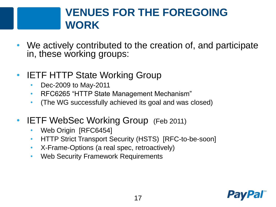#### **VENUES FOR THE FOREGOING WORK**

- We actively contributed to the creation of, and participate in, these working groups:
- **IETF HTTP State Working Group** 
	- Dec-2009 to May-2011
	- RFC6265 "HTTP State Management Mechanism"
	- (The WG successfully achieved its goal and was closed)
- **IETF WebSec Working Group** (Feb 2011)
	- Web Origin [RFC6454]
	- HTTP Strict Transport Security (HSTS) [RFC-to-be-soon]
	- X-Frame-Options (a real spec, retroactively)
	- Web Security Framework Requirements

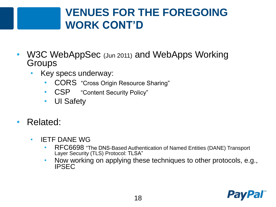#### **VENUES FOR THE FOREGOING WORK CONT'D**

- W3C WebAppSec (Jun 2011) and WebApps Working **Groups** 
	- Key specs underway:
		- CORS "Cross Origin Resource Sharing"
		- CSP "Content Security Policy"
		- UI Safety
- Related:
	- IETF DANE WG
		- RFC6698 "The DNS-Based Authentication of Named Entities (DANE) Transport Layer Security (TLS) Protocol: TLSA"
		- Now working on applying these techniques to other protocols, e.g., IPSEC

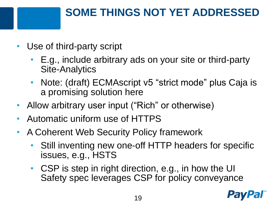## **SOME THINGS NOT YET ADDRESSED**

- Use of third-party script
	- E.g., include arbitrary ads on your site or third-party Site-Analytics
	- Note: (draft) ECMAscript v5 "strict mode" plus Caja is a promising solution here
- Allow arbitrary user input ("Rich" or otherwise)
- Automatic uniform use of HTTPS
- A Coherent Web Security Policy framework
	- Still inventing new one-off HTTP headers for specific issues, e.g., HSTS
	- CSP is step in right direction, e.g., in how the UI Safety spec leverages CSP for policy conveyance

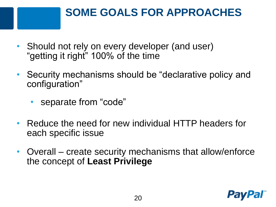## **SOME GOALS FOR APPROACHES**

- Should not rely on every developer (and user) "getting it right" 100% of the time
- Security mechanisms should be "declarative policy and configuration"
	- separate from "code"
- Reduce the need for new individual HTTP headers for each specific issue
- Overall create security mechanisms that allow/enforce the concept of **Least Privilege**

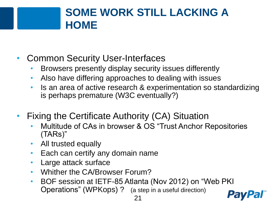#### **SOME WORK STILL LACKING A HOME**

- Common Security User-Interfaces
	- Browsers presently display security issues differently
	- Also have differing approaches to dealing with issues
	- Is an area of active research & experimentation so standardizing is perhaps premature (W3C eventually?)
- Fixing the Certificate Authority (CA) Situation
	- Multitude of CAs in browser & OS "Trust Anchor Repositories (TARs)"
	- All trusted equally
	- Each can certify any domain name
	- Large attack surface
	- Whither the CA/Browser Forum?
	- BOF session at IETF-85 Atlanta (Nov 2012) on "Web PKI Operations" (WPKops) ? (a step in a useful direction)

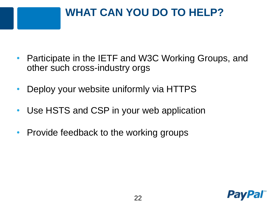## **WHAT CAN YOU DO TO HELP?**

- Participate in the IETF and W3C Working Groups, and other such cross-industry orgs
- Deploy your website uniformly via HTTPS
- Use HSTS and CSP in your web application
- Provide feedback to the working groups